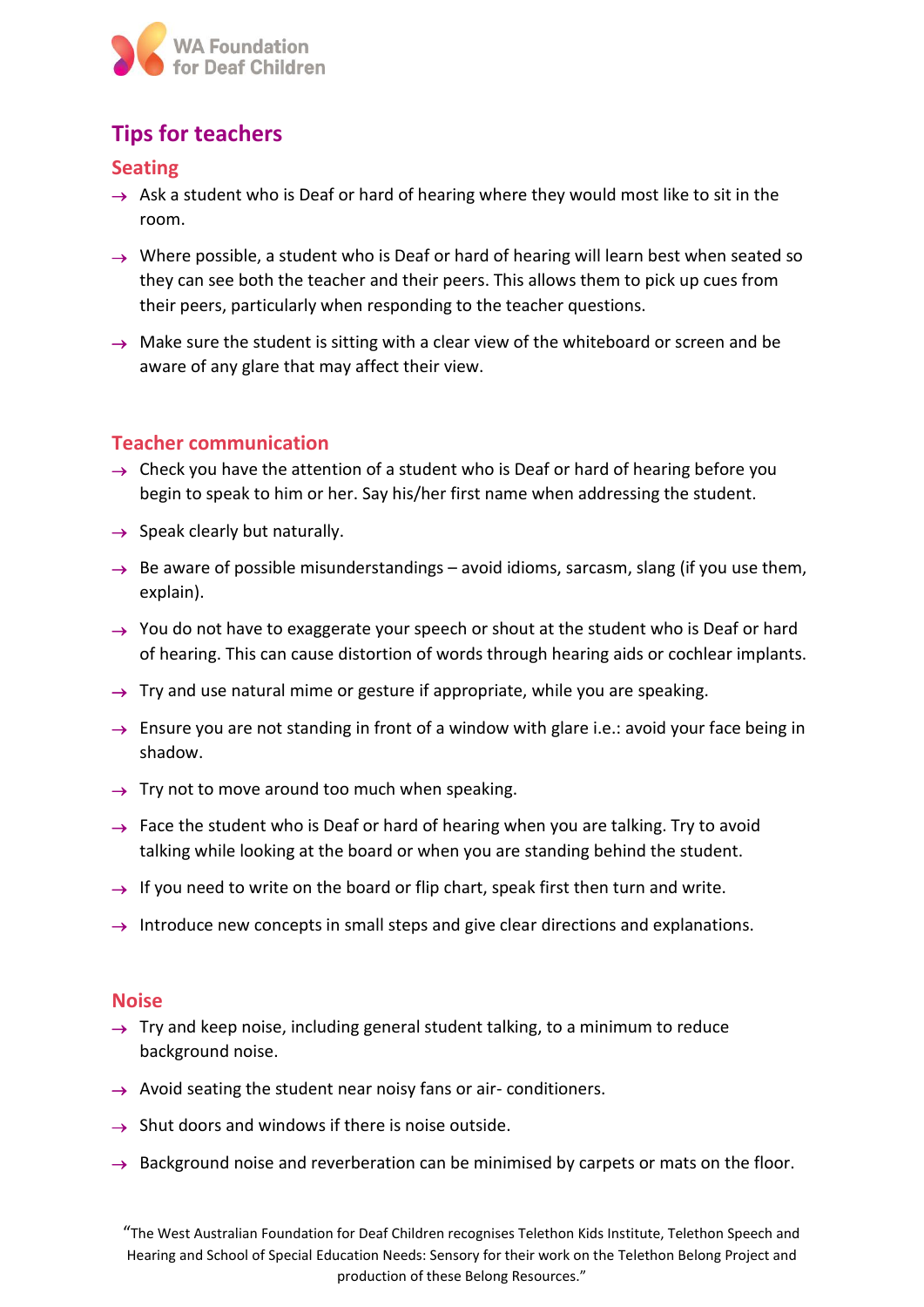

# **Tips for teachers**

### **Seating**

- $\rightarrow$  Ask a student who is Deaf or hard of hearing where they would most like to sit in the room.
- $\rightarrow$  Where possible, a student who is Deaf or hard of hearing will learn best when seated so they can see both the teacher and their peers. This allows them to pick up cues from their peers, particularly when responding to the teacher questions.
- $\rightarrow$  Make sure the student is sitting with a clear view of the whiteboard or screen and be aware of any glare that may affect their view.

### **Teacher communication**

- $\rightarrow$  Check you have the attention of a student who is Deaf or hard of hearing before you begin to speak to him or her. Say his/her first name when addressing the student.
- $\rightarrow$  Speak clearly but naturally.
- $\rightarrow$  Be aware of possible misunderstandings avoid idioms, sarcasm, slang (if you use them, explain).
- $\rightarrow$  You do not have to exaggerate your speech or shout at the student who is Deaf or hard of hearing. This can cause distortion of words through hearing aids or cochlear implants.
- $\rightarrow$  Try and use natural mime or gesture if appropriate, while you are speaking.
- $\rightarrow$  Ensure you are not standing in front of a window with glare i.e.: avoid your face being in shadow.
- $\rightarrow$  Try not to move around too much when speaking.
- $\rightarrow$  Face the student who is Deaf or hard of hearing when you are talking. Try to avoid talking while looking at the board or when you are standing behind the student.
- $\rightarrow$  If you need to write on the board or flip chart, speak first then turn and write.
- $\rightarrow$  Introduce new concepts in small steps and give clear directions and explanations.

#### **Noise**

- $\rightarrow$  Try and keep noise, including general student talking, to a minimum to reduce background noise.
- $\rightarrow$  Avoid seating the student near noisy fans or air-conditioners.
- $\rightarrow$  Shut doors and windows if there is noise outside.
- $\rightarrow$  Background noise and reverberation can be minimised by carpets or mats on the floor.

<sup>&</sup>quot;The West Australian Foundation for Deaf Children recognises Telethon Kids Institute, Telethon Speech and Hearing and School of Special Education Needs: Sensory for their work on the Telethon Belong Project and production of these Belong Resources."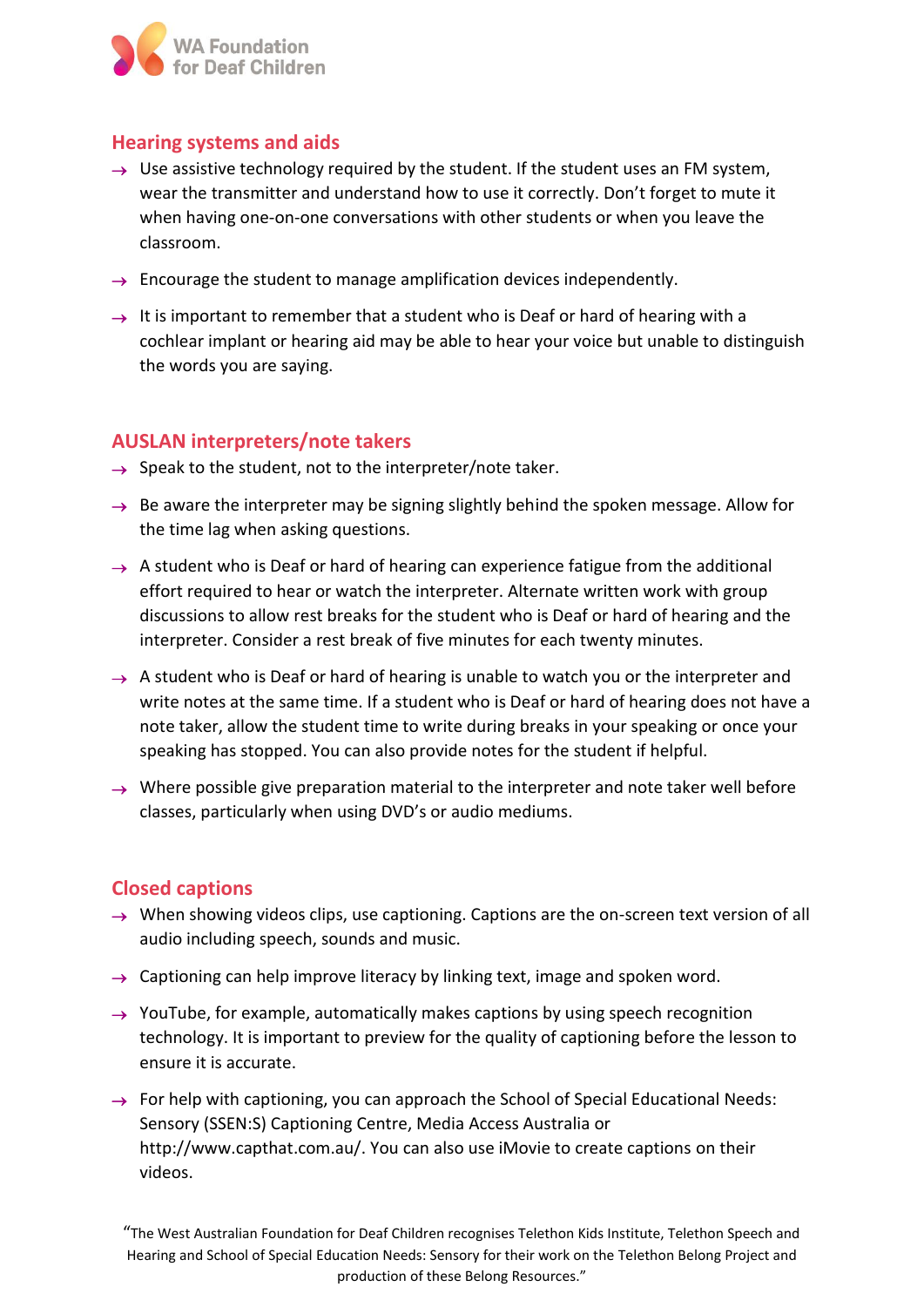

### **Hearing systems and aids**

- $\rightarrow$  Use assistive technology required by the student. If the student uses an FM system, wear the transmitter and understand how to use it correctly. Don't forget to mute it when having one-on-one conversations with other students or when you leave the classroom.
- $\rightarrow$  Encourage the student to manage amplification devices independently.
- $\rightarrow$  It is important to remember that a student who is Deaf or hard of hearing with a cochlear implant or hearing aid may be able to hear your voice but unable to distinguish the words you are saying.

### **AUSLAN interpreters/note takers**

- $\rightarrow$  Speak to the student, not to the interpreter/note taker.
- $\rightarrow$  Be aware the interpreter may be signing slightly behind the spoken message. Allow for the time lag when asking questions.
- $\rightarrow$  A student who is Deaf or hard of hearing can experience fatigue from the additional effort required to hear or watch the interpreter. Alternate written work with group discussions to allow rest breaks for the student who is Deaf or hard of hearing and the interpreter. Consider a rest break of five minutes for each twenty minutes.
- $\rightarrow$  A student who is Deaf or hard of hearing is unable to watch you or the interpreter and write notes at the same time. If a student who is Deaf or hard of hearing does not have a note taker, allow the student time to write during breaks in your speaking or once your speaking has stopped. You can also provide notes for the student if helpful.
- $\rightarrow$  Where possible give preparation material to the interpreter and note taker well before classes, particularly when using DVD's or audio mediums.

### **Closed captions**

- $\rightarrow$  When showing videos clips, use captioning. Captions are the on-screen text version of all audio including speech, sounds and music.
- $\rightarrow$  Captioning can help improve literacy by linking text, image and spoken word.
- $\rightarrow$  YouTube, for example, automatically makes captions by using speech recognition technology. It is important to preview for the quality of captioning before the lesson to ensure it is accurate.
- $\rightarrow$  For help with captioning, you can approach the School of Special Educational Needs: Sensory (SSEN:S) Captioning Centre, Media Access Australia or http://www.capthat.com.au/. You can also use iMovie to create captions on their videos.

<sup>&</sup>quot;The West Australian Foundation for Deaf Children recognises Telethon Kids Institute, Telethon Speech and Hearing and School of Special Education Needs: Sensory for their work on the Telethon Belong Project and production of these Belong Resources."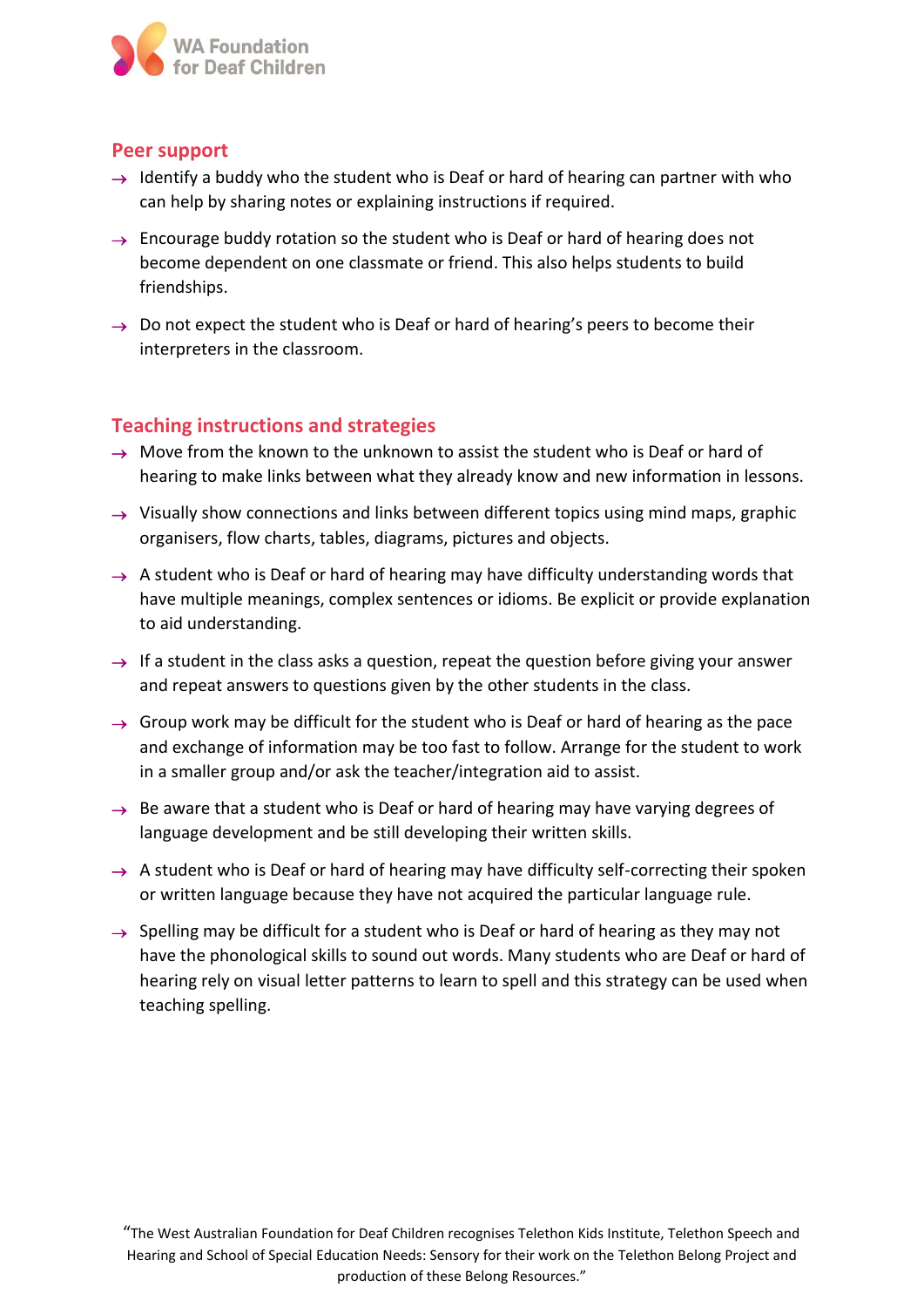

### **Peer support**

- $\rightarrow$  Identify a buddy who the student who is Deaf or hard of hearing can partner with who can help by sharing notes or explaining instructions if required.
- $\rightarrow$  Encourage buddy rotation so the student who is Deaf or hard of hearing does not become dependent on one classmate or friend. This also helps students to build friendships.
- $\rightarrow$  Do not expect the student who is Deaf or hard of hearing's peers to become their interpreters in the classroom.

### **Teaching instructions and strategies**

- $\rightarrow$  Move from the known to the unknown to assist the student who is Deaf or hard of hearing to make links between what they already know and new information in lessons.
- $\rightarrow$  Visually show connections and links between different topics using mind maps, graphic organisers, flow charts, tables, diagrams, pictures and objects.
- $\rightarrow$  A student who is Deaf or hard of hearing may have difficulty understanding words that have multiple meanings, complex sentences or idioms. Be explicit or provide explanation to aid understanding.
- $\rightarrow$  If a student in the class asks a question, repeat the question before giving your answer and repeat answers to questions given by the other students in the class.
- $\rightarrow$  Group work may be difficult for the student who is Deaf or hard of hearing as the pace and exchange of information may be too fast to follow. Arrange for the student to work in a smaller group and/or ask the teacher/integration aid to assist.
- $\rightarrow$  Be aware that a student who is Deaf or hard of hearing may have varying degrees of language development and be still developing their written skills.
- $\rightarrow$  A student who is Deaf or hard of hearing may have difficulty self-correcting their spoken or written language because they have not acquired the particular language rule.
- $\rightarrow$  Spelling may be difficult for a student who is Deaf or hard of hearing as they may not have the phonological skills to sound out words. Many students who are Deaf or hard of hearing rely on visual letter patterns to learn to spell and this strategy can be used when teaching spelling.

"The West Australian Foundation for Deaf Children recognises Telethon Kids Institute, Telethon Speech and Hearing and School of Special Education Needs: Sensory for their work on the Telethon Belong Project and production of these Belong Resources."